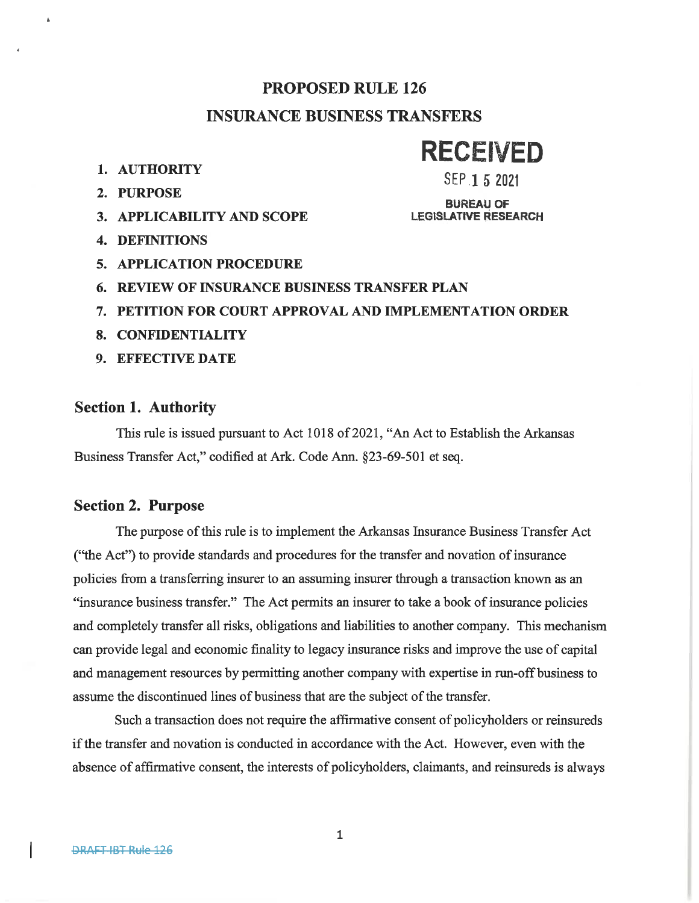# **PROPOSED RULE 126**

# **INSURANCE BUSINESS TRANSFERS**

- 1. AUTHORITY
- 2. PURPOSE

 $\Lambda$ 

- 3. APPLICABILITY AND SCOPE
- **4. DEFINITIONS**
- **5. APPLICATION PROCEDURE**
- 6. REVIEW OF INSURANCE BUSINESS TRANSFER PLAN
- 7. PETITION FOR COURT APPROVAL AND IMPLEMENTATION ORDER
- 8. CONFIDENTIALITY
- 9. EFFECTIVE DATE

# **Section 1. Authority**

This rule is issued pursuant to Act 1018 of 2021, "An Act to Establish the Arkansas Business Transfer Act," codified at Ark. Code Ann. §23-69-501 et seq.

# **Section 2. Purpose**

The purpose of this rule is to implement the Arkansas Insurance Business Transfer Act ("the Act") to provide standards and procedures for the transfer and novation of insurance policies from a transferring insurer to an assuming insurer through a transaction known as an "insurance business transfer." The Act permits an insurer to take a book of insurance policies and completely transfer all risks, obligations and liabilities to another company. This mechanism can provide legal and economic finality to legacy insurance risks and improve the use of capital and management resources by permitting another company with expertise in run-off business to assume the discontinued lines of business that are the subject of the transfer.

Such a transaction does not require the affirmative consent of policyholders or reinsureds if the transfer and novation is conducted in accordance with the Act. However, even with the absence of affirmative consent, the interests of policyholders, claimants, and reinsureds is always

SEP 1 5 2021

**RECEIVED** 

**BUREAU OF LEGISLATIVE RESEARCH**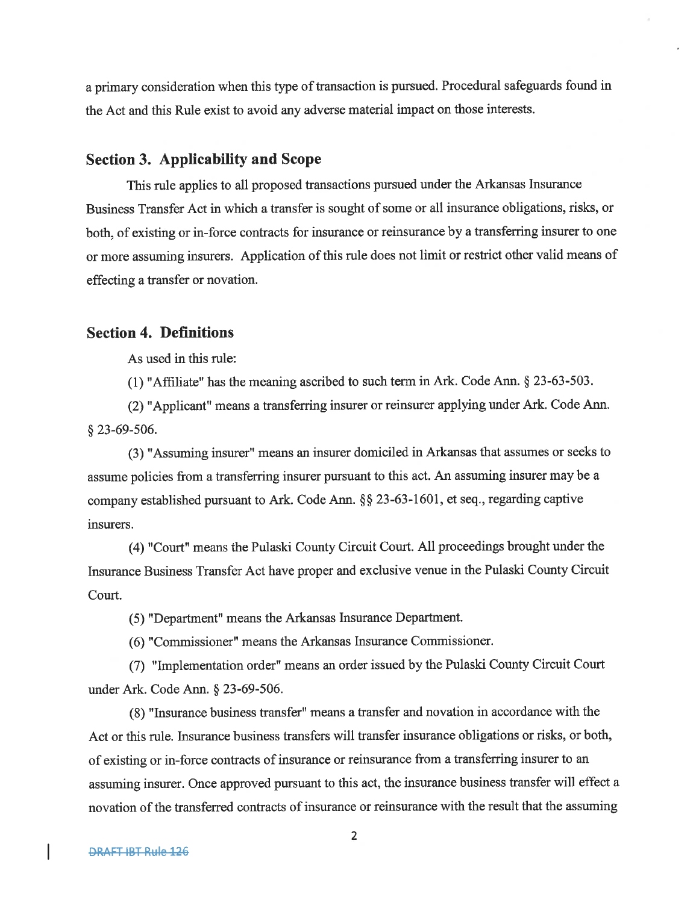a primary consideration when this type of transaction is pursued. Procedural safeguards found in the Act and this Rule exist to avoid any adverse material impact on those interests.

# **Section 3. Applicability and Scope**

This rule applies to all proposed transactions pursued under the Arkansas Insurance Business Transfer Act in which a transfer is sought of some or all insurance obligations, risks, or both, of existing or in-force contracts for insurance or reinsurance by a transferring insurer to one or more assuming insurers. Application of this rule does not limit or restrict other valid means of effecting a transfer or novation.

# **Section 4. Definitions**

As used in this rule:

(1) "Affiliate" has the meaning ascribed to such term in Ark. Code Ann. § 23-63-503.

(2) "Applicant" means a transferring insurer or reinsurer applying under Ark. Code Ann. § 23-69-506.

(3) "Assuming insurer" means an insurer domiciled in Arkansas that assumes or seeks to assume policies from a transferring insurer pursuant to this act. An assuming insurer may be a company established pursuant to Ark. Code Ann. §§ 23-63-1601, et seq., regarding captive insurers.

(4) "Court" means the Pulaski County Circuit Court. All proceedings brought under the Insurance Business Transfer Act have proper and exclusive venue in the Pulaski County Circuit Court.

(5) "Department" means the Arkansas Insurance Department.

(6) "Commissioner" means the Arkansas Insurance Commissioner.

(7) "Implementation order" means an order issued by the Pulaski County Circuit Court under Ark. Code Ann. § 23-69-506.

(8) "Insurance business transfer" means a transfer and novation in accordance with the Act or this rule. Insurance business transfers will transfer insurance obligations or risks, or both, of existing or in-force contracts of insurance or reinsurance from a transferring insurer to an assuming insurer. Once approved pursuant to this act, the insurance business transfer will effect a novation of the transferred contracts of insurance or reinsurance with the result that the assuming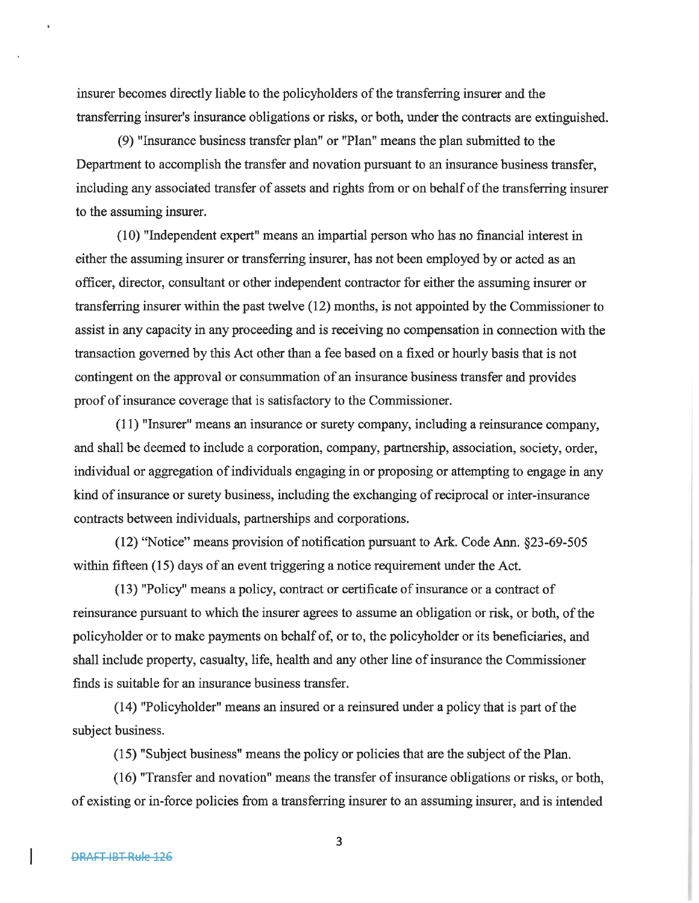insurer becomes directly liable to the policyholders of the transferring insurer and the transferring insurer's insurance obligations or risks, or both, under the contracts are extinguished.

(9) "Insurance business transfer plan" or "Plan" means the plan submitted to the Department to accomplish the transfer and novation pursuant to an insurance business transfer, including any associated transfer of assets and rights from or on behalf of the transferring insurer to the assuming insurer.

(10) "Independent expert" means an impartial person who has no financial interest in either the assuming insurer or transferring insurer, has not been employed by or acted as an officer, director, consultant or other independent contractor for either the assuming insurer or transferring insurer within the past twelve (12) months, is not appointed by the Commissioner to assist in any capacity in any proceeding and is receiving no compensation in connection with the transaction governed by this Act other than a fee based on a fixed or hourly basis that is not contingent on the approval or consummation of an insurance business transfer and provides proof of insurance coverage that is satisfactory to the Commissioner.

(11) "Insurer" means an insurance or surety company, including a reinsurance company, and shall be deemed to include a corporation, company, partnership, association, society, order, individual or aggregation of individuals engaging in or proposing or attempting to engage in any kind of insurance or surety business, including the exchanging of reciprocal or inter-insurance contracts between individuals, partnerships and corporations.

(12) "Notice" means provision of notification pursuant to Ark. Code Ann. §23-69-505 within fifteen (15) days of an event triggering a notice requirement under the Act.

(13) "Policy" means a policy, contract or certificate of insurance or a contract of reinsurance pursuant to which the insurer agrees to assume an obligation or risk, or both, of the policyholder or to make payments on behalf of, or to, the policyholder or its beneficiaries, and shall include property, casualty, life, health and any other line of insurance the Commissioner finds is suitable for an insurance business transfer.

(14) "Policyholder" means an insured or a reinsured under a policy that is part of the subject business.

(15) "Subject business" means the policy or policies that are the subject of the Plan.

(16) "Transfer and novation" means the transfer of insurance obligations or risks, or both, of existing or in-force policies from a transferring insurer to an assuming insurer, and is intended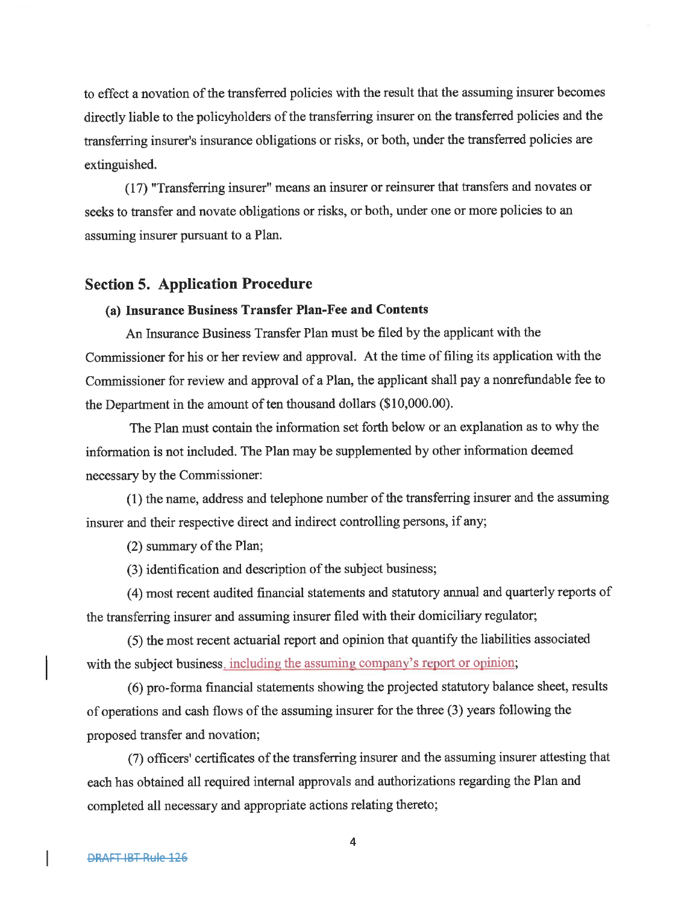to effect a novation of the transferred policies with the result that the assuming insurer becomes directly liable to the policyholders of the transferring insurer on the transferred policies and the transferring insurer's insurance obligations or risks, or both, under the transferred policies are extinguished.

(17) "Transferring insurer" means an insurer or reinsurer that transfers and novates or seeks to transfer and novate obligations or risks, or both, under one or more policies to an assuming insurer pursuant to a Plan.

# **Section 5. Application Procedure**

# (a) Insurance Business Transfer Plan-Fee and Contents

An Insurance Business Transfer Plan must be filed by the applicant with the Commissioner for his or her review and approval. At the time of filing its application with the Commissioner for review and approval of a Plan, the applicant shall pay a nonrefundable fee to the Department in the amount of ten thousand dollars (\$10,000.00).

The Plan must contain the information set forth below or an explanation as to why the information is not included. The Plan may be supplemented by other information deemed necessary by the Commissioner:

(1) the name, address and telephone number of the transferring insurer and the assuming insurer and their respective direct and indirect controlling persons, if any;

(2) summary of the Plan;

(3) identification and description of the subject business;

(4) most recent audited financial statements and statutory annual and quarterly reports of the transferring insurer and assuming insurer filed with their domiciliary regulator;

(5) the most recent actuarial report and opinion that quantify the liabilities associated with the subject business, including the assuming company's report or opinion;

(6) pro-forma financial statements showing the projected statutory balance sheet, results of operations and cash flows of the assuming insurer for the three (3) years following the proposed transfer and novation;

(7) officers' certificates of the transferring insurer and the assuming insurer attesting that each has obtained all required internal approvals and authorizations regarding the Plan and completed all necessary and appropriate actions relating thereto;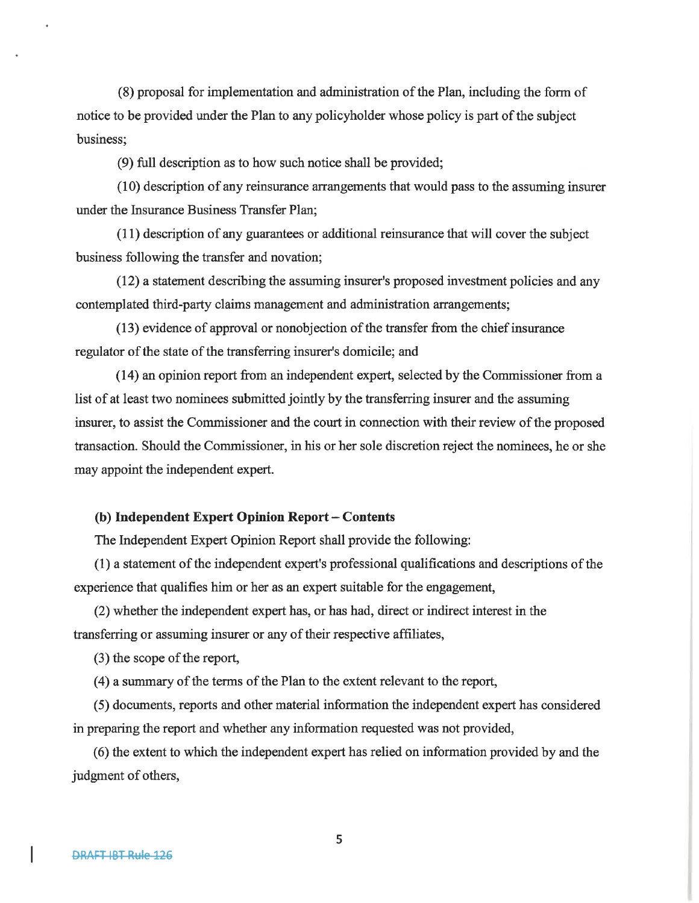(8) proposal for implementation and administration of the Plan, including the form of notice to be provided under the Plan to any policyholder whose policy is part of the subject business:

(9) full description as to how such notice shall be provided;

(10) description of any reinsurance arrangements that would pass to the assuming insurer under the Insurance Business Transfer Plan;

(11) description of any guarantees or additional reinsurance that will cover the subject business following the transfer and novation;

(12) a statement describing the assuming insurer's proposed investment policies and any contemplated third-party claims management and administration arrangements;

(13) evidence of approval or nonobjection of the transfer from the chief insurance regulator of the state of the transferring insurer's domicile; and

(14) an opinion report from an independent expert, selected by the Commissioner from a list of at least two nominees submitted jointly by the transferring insurer and the assuming insurer, to assist the Commissioner and the court in connection with their review of the proposed transaction. Should the Commissioner, in his or her sole discretion reject the nominees, he or she may appoint the independent expert.

#### (b) Independent Expert Opinion Report – Contents

The Independent Expert Opinion Report shall provide the following:

(1) a statement of the independent expert's professional qualifications and descriptions of the experience that qualifies him or her as an expert suitable for the engagement,

(2) whether the independent expert has, or has had, direct or indirect interest in the transferring or assuming insurer or any of their respective affiliates,

(3) the scope of the report,

(4) a summary of the terms of the Plan to the extent relevant to the report,

(5) documents, reports and other material information the independent expert has considered in preparing the report and whether any information requested was not provided,

(6) the extent to which the independent expert has relied on information provided by and the judgment of others,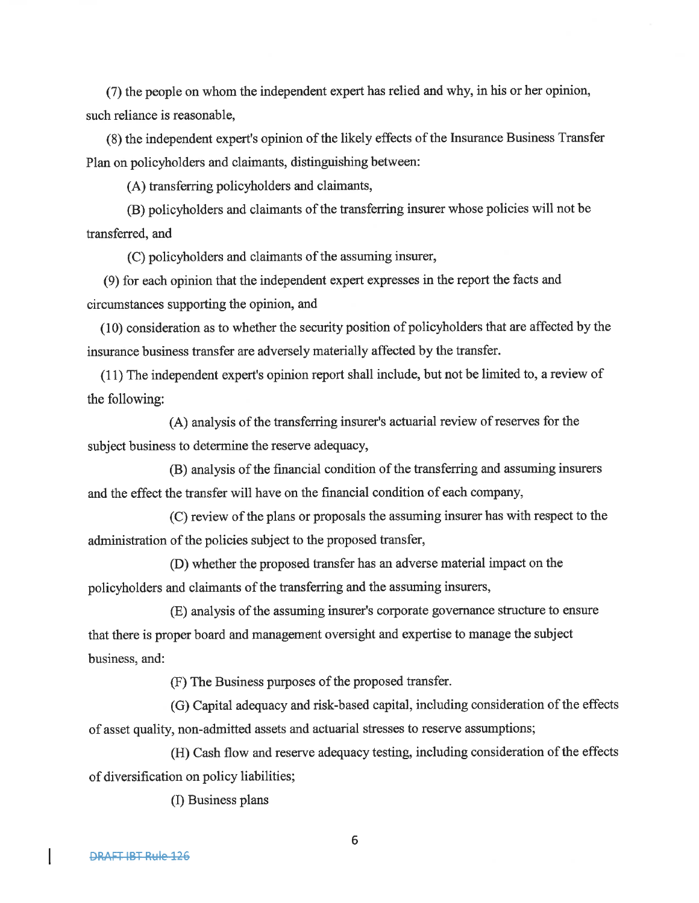(7) the people on whom the independent expert has relied and why, in his or her opinion, such reliance is reasonable,

(8) the independent expert's opinion of the likely effects of the Insurance Business Transfer Plan on policyholders and claimants, distinguishing between:

(A) transferring policyholders and claimants,

(B) policyholders and claimants of the transferring insurer whose policies will not be transferred, and

(C) policyholders and claimants of the assuming insurer,

(9) for each opinion that the independent expert expresses in the report the facts and circumstances supporting the opinion, and

(10) consideration as to whether the security position of policyholders that are affected by the insurance business transfer are adversely materially affected by the transfer.

(11) The independent expert's opinion report shall include, but not be limited to, a review of the following:

(A) analysis of the transferring insurer's actuarial review of reserves for the subject business to determine the reserve adequacy,

(B) analysis of the financial condition of the transferring and assuming insurers and the effect the transfer will have on the financial condition of each company,

(C) review of the plans or proposals the assuming insurer has with respect to the administration of the policies subject to the proposed transfer,

(D) whether the proposed transfer has an adverse material impact on the policyholders and claimants of the transferring and the assuming insurers,

(E) analysis of the assuming insurer's corporate governance structure to ensure that there is proper board and management oversight and expertise to manage the subject business, and:

(F) The Business purposes of the proposed transfer.

(G) Capital adequacy and risk-based capital, including consideration of the effects of asset quality, non-admitted assets and actuarial stresses to reserve assumptions;

(H) Cash flow and reserve adequacy testing, including consideration of the effects of diversification on policy liabilities;

(I) Business plans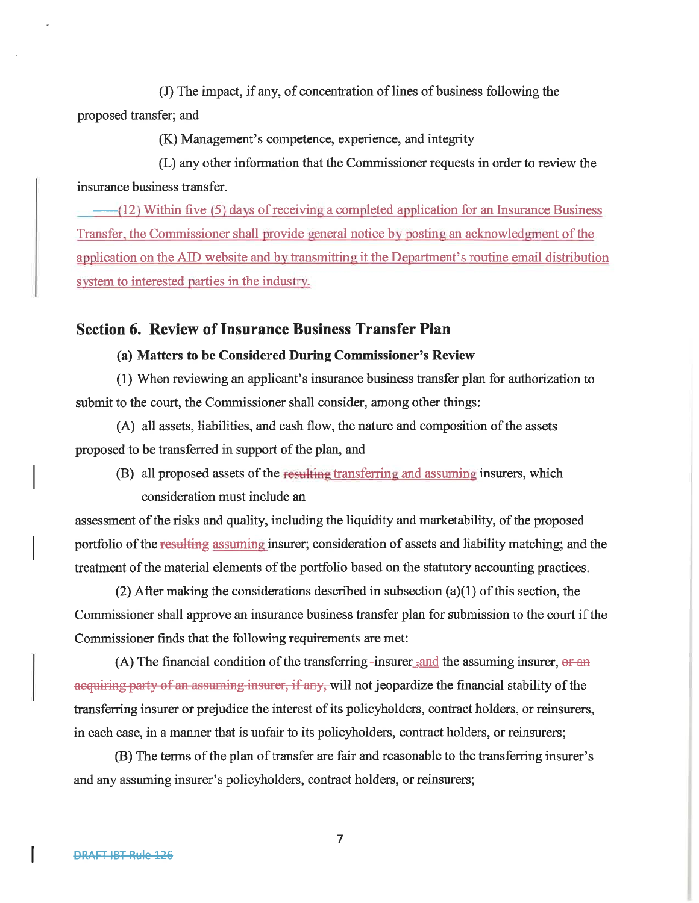(J) The impact, if any, of concentration of lines of business following the proposed transfer; and

(K) Management's competence, experience, and integrity

(L) any other information that the Commissioner requests in order to review the insurance business transfer.

(12) Within five (5) days of receiving a completed application for an Insurance Business Transfer, the Commissioner shall provide general notice by posting an acknowledgment of the application on the AID website and by transmitting it the Department's routine email distribution system to interested parties in the industry.

# **Section 6. Review of Insurance Business Transfer Plan**

#### (a) Matters to be Considered During Commissioner's Review

(1) When reviewing an applicant's insurance business transfer plan for authorization to submit to the court, the Commissioner shall consider, among other things:

(A) all assets, liabilities, and cash flow, the nature and composition of the assets proposed to be transferred in support of the plan, and

(B) all proposed assets of the resulting transferring and assuming insurers, which consideration must include an

assessment of the risks and quality, including the liquidity and marketability, of the proposed portfolio of the resulting assuming insurer; consideration of assets and liability matching; and the treatment of the material elements of the portfolio based on the statutory accounting practices.

(2) After making the considerations described in subsection (a)(1) of this section, the Commissioner shall approve an insurance business transfer plan for submission to the court if the Commissioner finds that the following requirements are met:

(A) The financial condition of the transferring -insurer  $\frac{1}{2}$  and the assuming insurer, or an acquiring party of an assuming insurer, if any, will not jeopardize the financial stability of the transferring insurer or prejudice the interest of its policyholders, contract holders, or reinsurers, in each case, in a manner that is unfair to its policyholders, contract holders, or reinsurers;

(B) The terms of the plan of transfer are fair and reasonable to the transferring insurer's and any assuming insurer's policyholders, contract holders, or reinsurers;

 $\overline{7}$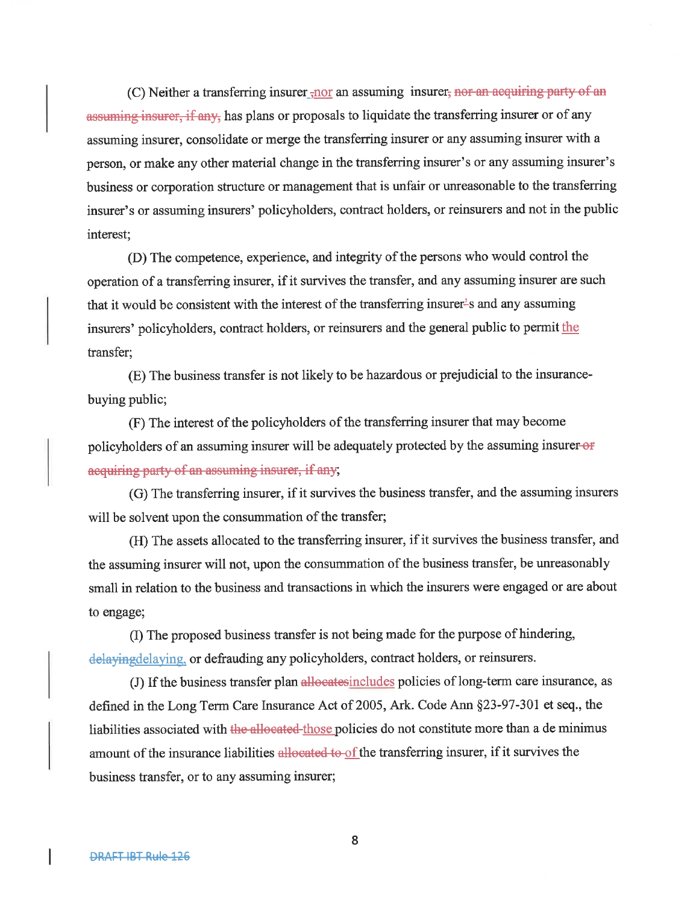(C) Neither a transferring insurer nor an assuming insurer, nor an acquiring party of an assuming insurer, if any, has plans or proposals to liquidate the transferring insurer or of any assuming insurer, consolidate or merge the transferring insurer or any assuming insurer with a person, or make any other material change in the transferring insurer's or any assuming insurer's business or corporation structure or management that is unfair or unreasonable to the transferring insurer's or assuming insurers' policyholders, contract holders, or reinsurers and not in the public interest:

(D) The competence, experience, and integrity of the persons who would control the operation of a transferring insurer, if it survives the transfer, and any assuming insurer are such that it would be consistent with the interest of the transferring insurer-s and any assuming insurers' policyholders, contract holders, or reinsurers and the general public to permit the transfer:

(E) The business transfer is not likely to be hazardous or prejudicial to the insurancebuying public;

(F) The interest of the policyholders of the transferring insurer that may become policyholders of an assuming insurer will be adequately protected by the assuming insurer-or acquiring party of an assuming insurer, if any;

(G) The transferring insurer, if it survives the business transfer, and the assuming insurers will be solvent upon the consummation of the transfer;

(H) The assets allocated to the transferring insurer, if it survives the business transfer, and the assuming insurer will not, upon the consummation of the business transfer, be unreasonably small in relation to the business and transactions in which the insurers were engaged or are about to engage;

(I) The proposed business transfer is not being made for the purpose of hindering, delayingdelaying, or defrauding any policyholders, contract holders, or reinsurers.

(J) If the business transfer plan allocates includes policies of long-term care insurance, as defined in the Long Term Care Insurance Act of 2005, Ark. Code Ann §23-97-301 et seq., the liabilities associated with the allocated-those policies do not constitute more than a de minimus amount of the insurance liabilities allocated to of the transferring insurer, if it survives the business transfer, or to any assuming insurer;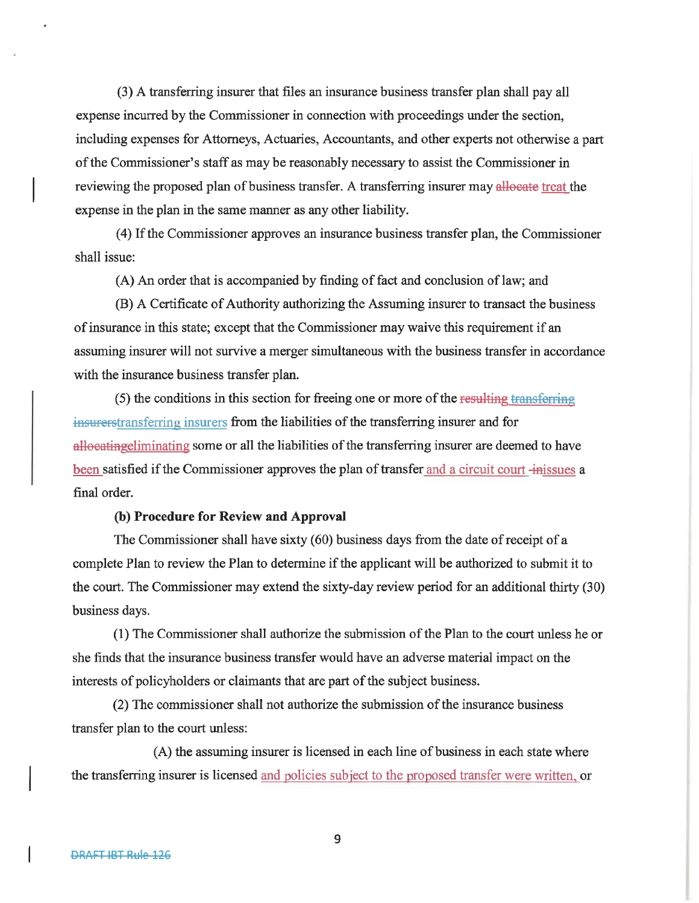(3) A transferring insurer that files an insurance business transfer plan shall pay all expense incurred by the Commissioner in connection with proceedings under the section, including expenses for Attorneys, Actuaries, Accountants, and other experts not otherwise a part of the Commissioner's staff as may be reasonably necessary to assist the Commissioner in reviewing the proposed plan of business transfer. A transferring insurer may allocate treat the expense in the plan in the same manner as any other liability.

(4) If the Commissioner approves an insurance business transfer plan, the Commissioner shall issue:

(A) An order that is accompanied by finding of fact and conclusion of law; and

(B) A Certificate of Authority authorizing the Assuming insurer to transact the business of insurance in this state; except that the Commissioner may waive this requirement if an assuming insurer will not survive a merger simultaneous with the business transfer in accordance with the insurance business transfer plan.

 $(5)$  the conditions in this section for freeing one or more of the resulting transferring insurerstransferring insurers from the liabilities of the transferring insurer and for allocating eliminating some or all the liabilities of the transferring insurer are deemed to have been satisfied if the Commissioner approves the plan of transfer and a circuit court -inissues a final order.

#### (b) Procedure for Review and Approval

The Commissioner shall have sixty (60) business days from the date of receipt of a complete Plan to review the Plan to determine if the applicant will be authorized to submit it to the court. The Commissioner may extend the sixty-day review period for an additional thirty (30) business days.

(1) The Commissioner shall authorize the submission of the Plan to the court unless he or she finds that the insurance business transfer would have an adverse material impact on the interests of policyholders or claimants that are part of the subject business.

(2) The commissioner shall not authorize the submission of the insurance business transfer plan to the court unless:

(A) the assuming insurer is licensed in each line of business in each state where the transferring insurer is licensed and policies subject to the proposed transfer were written, or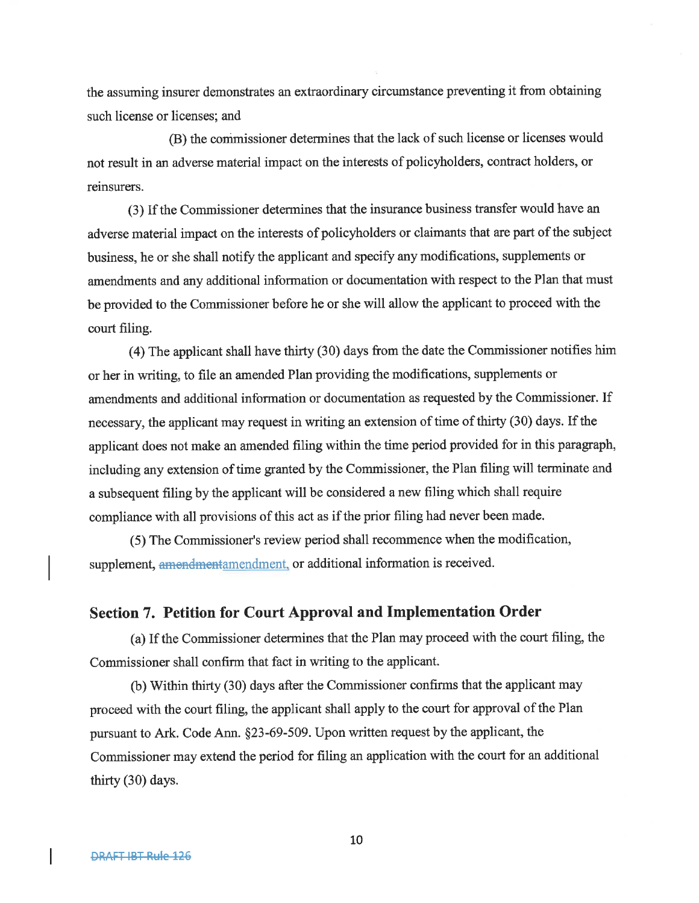the assuming insurer demonstrates an extraordinary circumstance preventing it from obtaining such license or licenses; and

(B) the commissioner determines that the lack of such license or licenses would not result in an adverse material impact on the interests of policyholders, contract holders, or reinsurers.

(3) If the Commissioner determines that the insurance business transfer would have an adverse material impact on the interests of policyholders or claimants that are part of the subject business, he or she shall notify the applicant and specify any modifications, supplements or amendments and any additional information or documentation with respect to the Plan that must be provided to the Commissioner before he or she will allow the applicant to proceed with the court filing.

(4) The applicant shall have thirty (30) days from the date the Commissioner notifies him or her in writing, to file an amended Plan providing the modifications, supplements or amendments and additional information or documentation as requested by the Commissioner. If necessary, the applicant may request in writing an extension of time of thirty (30) days. If the applicant does not make an amended filing within the time period provided for in this paragraph, including any extension of time granted by the Commissioner, the Plan filing will terminate and a subsequent filing by the applicant will be considered a new filing which shall require compliance with all provisions of this act as if the prior filing had never been made.

(5) The Commissioner's review period shall recommence when the modification, supplement, amendmentamendment, or additional information is received.

### Section 7. Petition for Court Approval and Implementation Order

(a) If the Commissioner determines that the Plan may proceed with the court filing, the Commissioner shall confirm that fact in writing to the applicant.

(b) Within thirty (30) days after the Commissioner confirms that the applicant may proceed with the court filing, the applicant shall apply to the court for approval of the Plan pursuant to Ark. Code Ann. §23-69-509. Upon written request by the applicant, the Commissioner may extend the period for filing an application with the court for an additional thirty  $(30)$  days.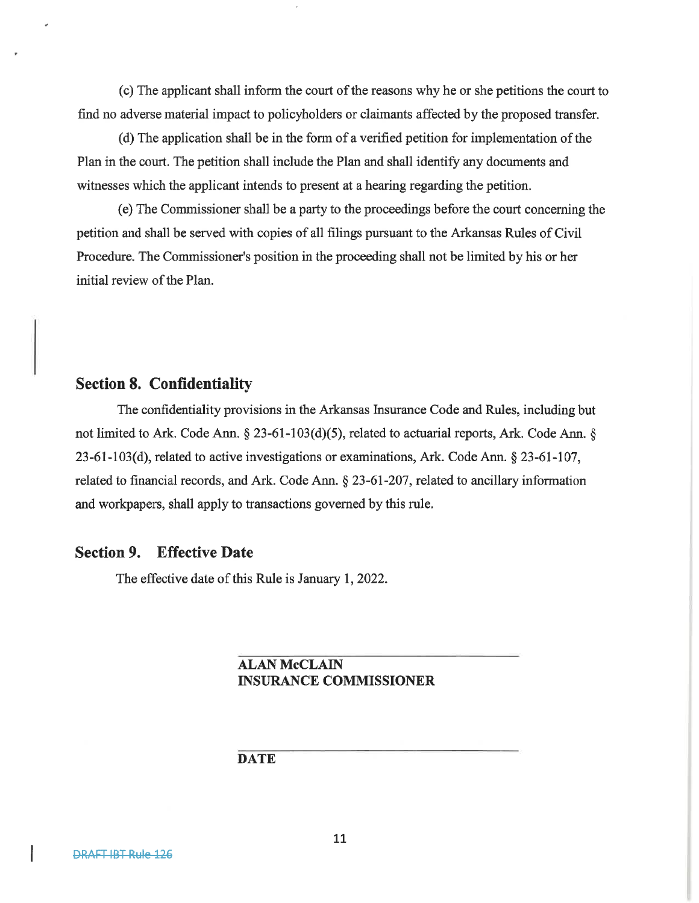(c) The applicant shall inform the court of the reasons why he or she petitions the court to find no adverse material impact to policyholders or claimants affected by the proposed transfer.

(d) The application shall be in the form of a verified petition for implementation of the Plan in the court. The petition shall include the Plan and shall identify any documents and witnesses which the applicant intends to present at a hearing regarding the petition.

(e) The Commissioner shall be a party to the proceedings before the court concerning the petition and shall be served with copies of all filings pursuant to the Arkansas Rules of Civil Procedure. The Commissioner's position in the proceeding shall not be limited by his or her initial review of the Plan.

# **Section 8. Confidentiality**

The confidentiality provisions in the Arkansas Insurance Code and Rules, including but not limited to Ark. Code Ann. § 23-61-103(d)(5), related to actuarial reports, Ark. Code Ann. § 23-61-103(d), related to active investigations or examinations, Ark. Code Ann. § 23-61-107, related to financial records, and Ark. Code Ann.  $\S$  23-61-207, related to ancillary information and workpapers, shall apply to transactions governed by this rule.

#### Section 9. **Effective Date**

The effective date of this Rule is January 1, 2022.

**ALAN McCLAIN INSURANCE COMMISSIONER** 

**DATE**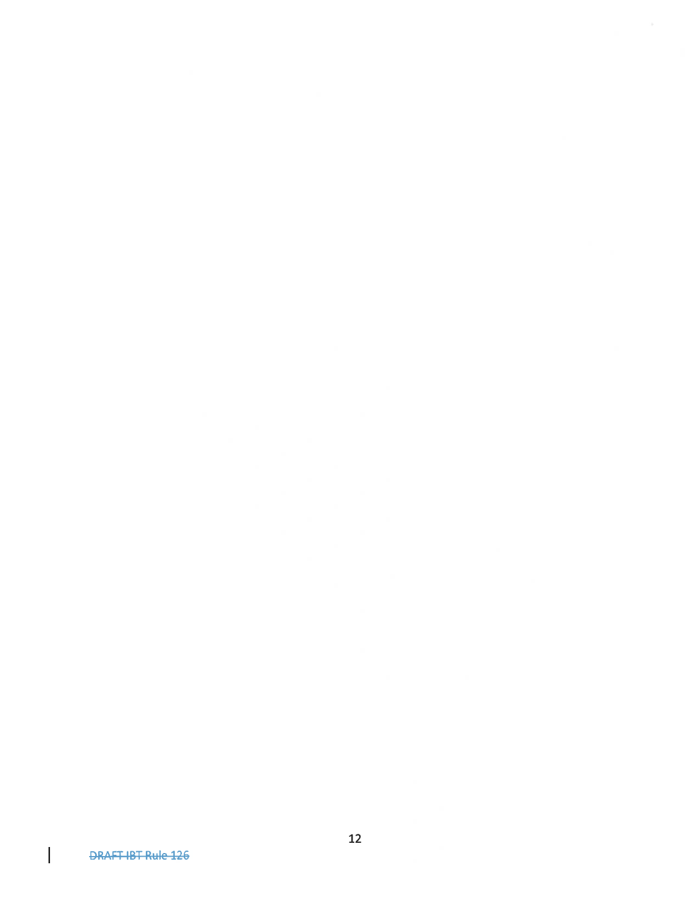**DRAFT IBT Rule 126** 

 $\overline{1}$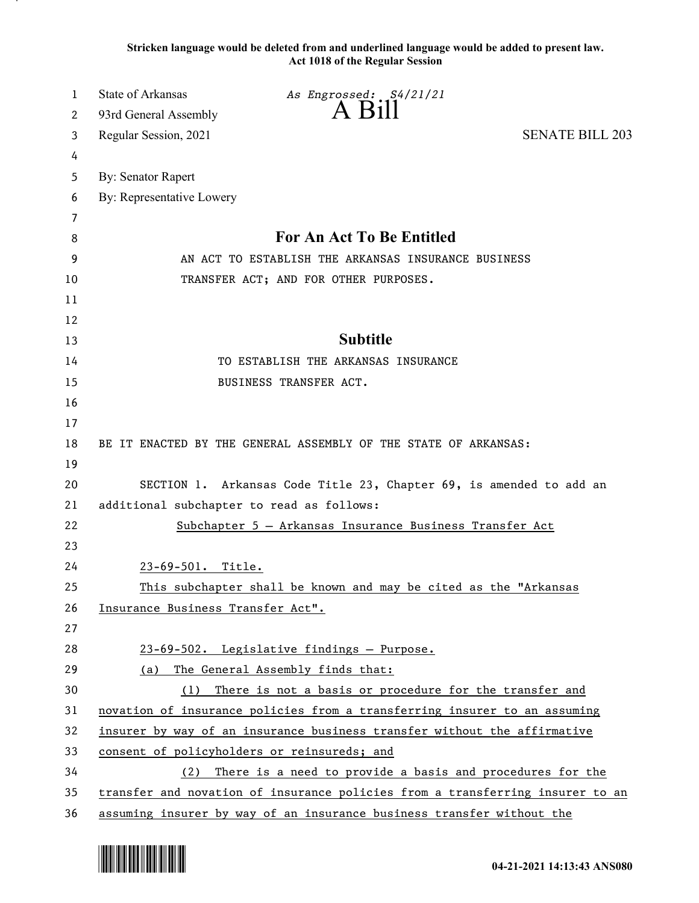**Stricken language would be deleted from and underlined language would be added to present law. Act 1018 of the Regular Session**

| 1  | State of Arkansas<br>As Engrossed: S4/21/21                                   |
|----|-------------------------------------------------------------------------------|
| 2  | $A$ $B111$<br>93rd General Assembly                                           |
| 3  | <b>SENATE BILL 203</b><br>Regular Session, 2021                               |
| 4  |                                                                               |
| 5  | <b>By: Senator Rapert</b>                                                     |
| 6  | By: Representative Lowery                                                     |
| 7  |                                                                               |
| 8  | For An Act To Be Entitled                                                     |
| 9  | AN ACT TO ESTABLISH THE ARKANSAS INSURANCE BUSINESS                           |
| 10 | TRANSFER ACT; AND FOR OTHER PURPOSES.                                         |
| 11 |                                                                               |
| 12 |                                                                               |
| 13 | <b>Subtitle</b>                                                               |
| 14 | TO ESTABLISH THE ARKANSAS INSURANCE                                           |
| 15 | BUSINESS TRANSFER ACT.                                                        |
| 16 |                                                                               |
| 17 |                                                                               |
| 18 | BE IT ENACTED BY THE GENERAL ASSEMBLY OF THE STATE OF ARKANSAS:               |
| 19 |                                                                               |
| 20 | SECTION 1. Arkansas Code Title 23, Chapter 69, is amended to add an           |
| 21 | additional subchapter to read as follows:                                     |
| 22 | Subchapter 5 - Arkansas Insurance Business Transfer Act                       |
| 23 |                                                                               |
| 24 | 23-69-501. Title.                                                             |
| 25 | This subchapter shall be known and may be cited as the "Arkansas              |
| 26 | Insurance Business Transfer Act".                                             |
| 27 |                                                                               |
| 28 | 23-69-502. Legislative findings - Purpose.                                    |
| 29 | The General Assembly finds that:<br>(a)                                       |
| 30 | There is not a basis or procedure for the transfer and<br>(1)                 |
| 31 | novation of insurance policies from a transferring insurer to an assuming     |
| 32 | insurer by way of an insurance business transfer without the affirmative      |
| 33 | consent of policyholders or reinsureds; and                                   |
| 34 | (2) There is a need to provide a basis and procedures for the                 |
| 35 | transfer and novation of insurance policies from a transferring insurer to an |
| 36 | assuming insurer by way of an insurance business transfer without the         |

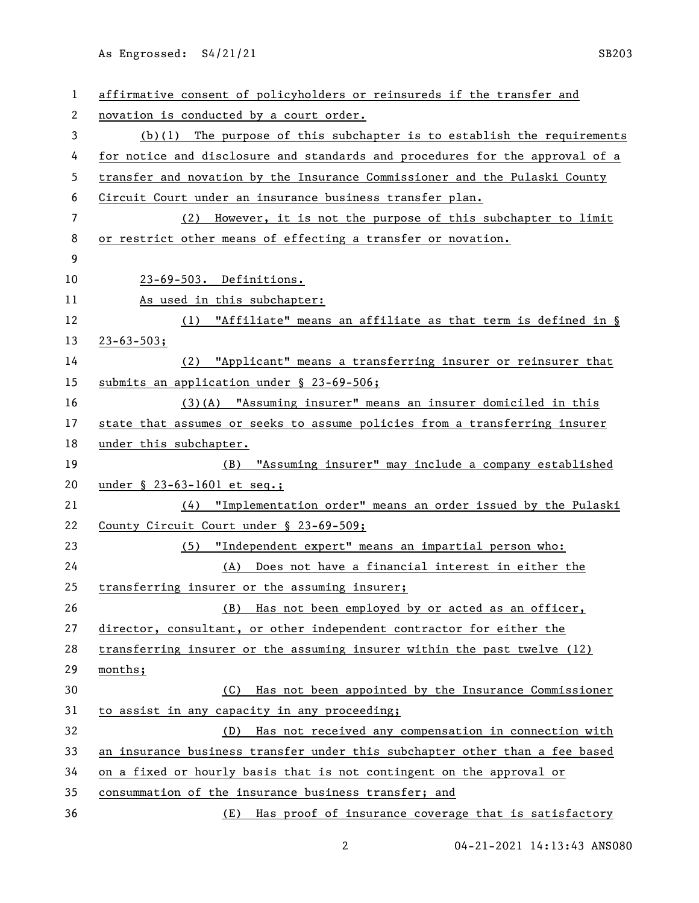| 1  | affirmative consent of policyholders or reinsureds if the transfer and       |
|----|------------------------------------------------------------------------------|
| 2  | novation is conducted by a court order.                                      |
| 3  | $(b)(1)$ The purpose of this subchapter is to establish the requirements     |
| 4  | for notice and disclosure and standards and procedures for the approval of a |
| 5  | transfer and novation by the Insurance Commissioner and the Pulaski County   |
| 6  | Circuit Court under an insurance business transfer plan.                     |
| 7  | (2) However, it is not the purpose of this subchapter to limit               |
| 8  | or restrict other means of effecting a transfer or novation.                 |
| 9  |                                                                              |
| 10 | 23-69-503. Definitions.                                                      |
| 11 | As used in this subchapter:                                                  |
| 12 | (1) "Affiliate" means an affiliate as that term is defined in $\S$           |
| 13 | $23 - 63 - 503;$                                                             |
| 14 | (2) "Applicant" means a transferring insurer or reinsurer that               |
| 15 | submits an application under § 23-69-506;                                    |
| 16 | $(3)(A)$ "Assuming insurer" means an insurer domiciled in this               |
| 17 | state that assumes or seeks to assume policies from a transferring insurer   |
| 18 | under this subchapter.                                                       |
| 19 | (B) "Assuming insurer" may include a company established                     |
| 20 | under § 23-63-1601 et seq.;                                                  |
| 21 | (4) "Implementation order" means an order issued by the Pulaski              |
| 22 | County Circuit Court under § 23-69-509;                                      |
| 23 | (5) "Independent expert" means an impartial person who:                      |
| 24 | (A) Does not have a financial interest in either the                         |
| 25 | transferring insurer or the assuming insurer;                                |
| 26 | Has not been employed by or acted as an officer,<br>(B)                      |
| 27 | director, consultant, or other independent contractor for either the         |
| 28 | transferring insurer or the assuming insurer within the past twelve (12)     |
| 29 | months;                                                                      |
| 30 | Has not been appointed by the Insurance Commissioner<br>(C)                  |
| 31 | to assist in any capacity in any proceeding;                                 |
| 32 | Has not received any compensation in connection with<br>(D)                  |
| 33 | an insurance business transfer under this subchapter other than a fee based  |
| 34 | on a fixed or hourly basis that is not contingent on the approval or         |
| 35 | consummation of the insurance business transfer; and                         |
| 36 | (E) Has proof of insurance coverage that is satisfactory                     |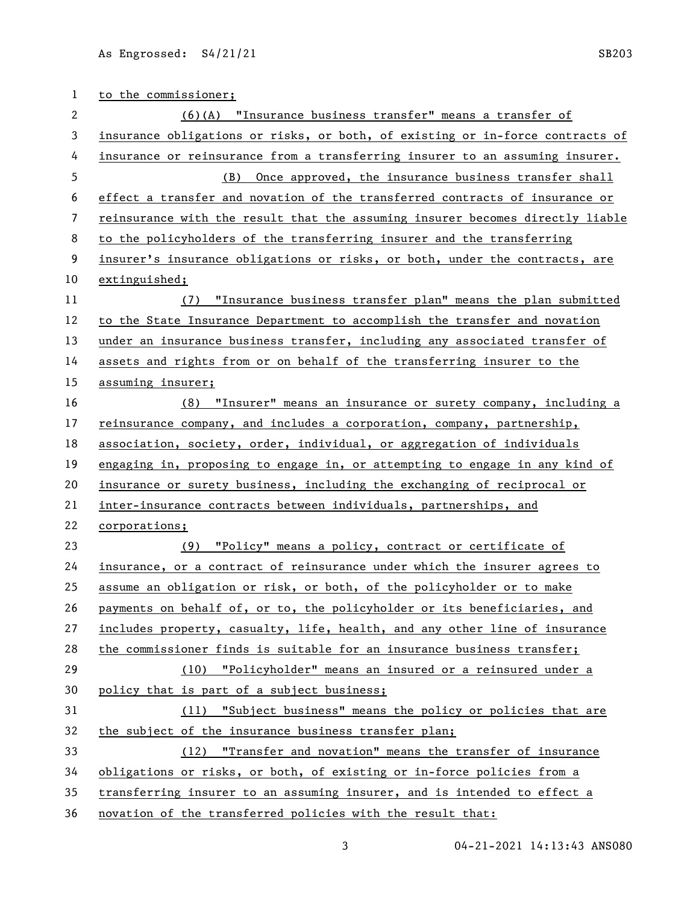| $\mathbf{1}$ | to the commissioner;                                                          |
|--------------|-------------------------------------------------------------------------------|
| 2            | $(6)(A)$ "Insurance business transfer" means a transfer of                    |
| 3            | insurance obligations or risks, or both, of existing or in-force contracts of |
| 4            | insurance or reinsurance from a transferring insurer to an assuming insurer.  |
| 5            | (B) Once approved, the insurance business transfer shall                      |
| 6            | effect a transfer and novation of the transferred contracts of insurance or   |
| 7            | reinsurance with the result that the assuming insurer becomes directly liable |
| 8            | to the policyholders of the transferring insurer and the transferring         |
| 9            | insurer's insurance obligations or risks, or both, under the contracts, are   |
| 10           | extinguished;                                                                 |
| 11           | (7) "Insurance business transfer plan" means the plan submitted               |
| 12           | to the State Insurance Department to accomplish the transfer and novation     |
| 13           | under an insurance business transfer, including any associated transfer of    |
| 14           | assets and rights from or on behalf of the transferring insurer to the        |
| 15           | assuming insurer;                                                             |
| 16           | (8) "Insurer" means an insurance or surety company, including a               |
| 17           | reinsurance company, and includes a corporation, company, partnership,        |
| 18           | association, society, order, individual, or aggregation of individuals        |
| 19           | engaging in, proposing to engage in, or attempting to engage in any kind of   |
| 20           | insurance or surety business, including the exchanging of reciprocal or       |
| 21           | inter-insurance contracts between individuals, partnerships, and              |
| 22           | corporations;                                                                 |
| 23           | (9) "Policy" means a policy, contract or certificate of                       |
| 24           | insurance, or a contract of reinsurance under which the insurer agrees to     |
| 25           | assume an obligation or risk, or both, of the policyholder or to make         |
| 26           | payments on behalf of, or to, the policyholder or its beneficiaries, and      |
| 27           | includes property, casualty, life, health, and any other line of insurance    |
| 28           | the commissioner finds is suitable for an insurance business transfer;        |
| 29           | (10) "Policyholder" means an insured or a reinsured under a                   |
| 30           | policy that is part of a subject business;                                    |
| 31           | (11) "Subject business" means the policy or policies that are                 |
| 32           | the subject of the insurance business transfer plan;                          |
| 33           | (12) "Transfer and novation" means the transfer of insurance                  |
| 34           | obligations or risks, or both, of existing or in-force policies from a        |
| 35           | transferring insurer to an assuming insurer, and is intended to effect a      |
| 36           | novation of the transferred policies with the result that:                    |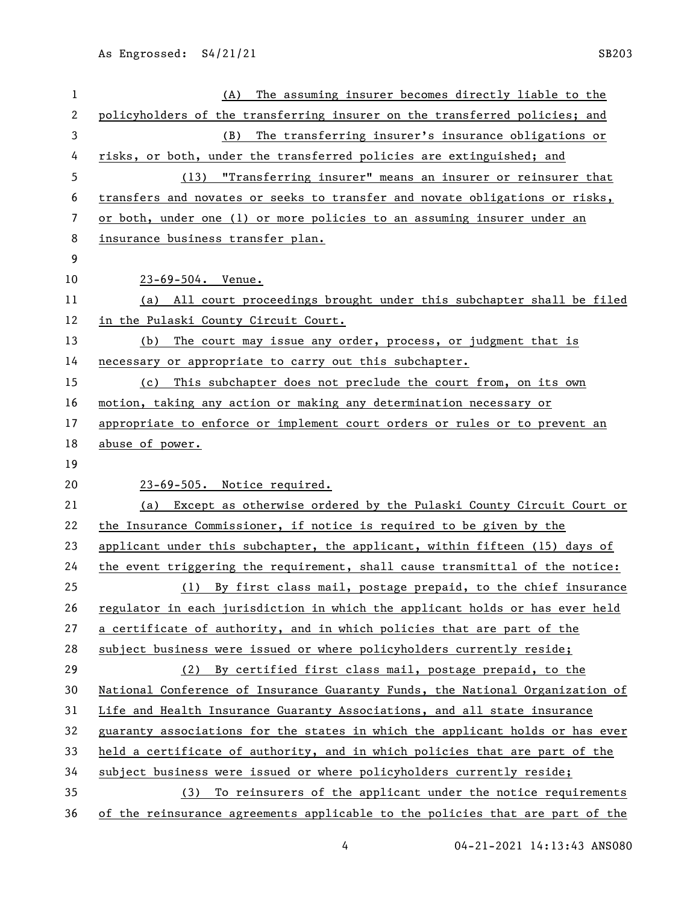| 1  | The assuming insurer becomes directly liable to the<br>(A)                    |
|----|-------------------------------------------------------------------------------|
| 2  | policyholders of the transferring insurer on the transferred policies; and    |
| 3  | The transferring insurer's insurance obligations or<br>(B)                    |
| 4  | risks, or both, under the transferred policies are extinguished; and          |
| 5  | (13) "Transferring insurer" means an insurer or reinsurer that                |
| 6  | transfers and novates or seeks to transfer and novate obligations or risks,   |
| 7  | or both, under one (1) or more policies to an assuming insurer under an       |
| 8  | insurance business transfer plan.                                             |
| 9  |                                                                               |
| 10 | 23-69-504. Venue.                                                             |
| 11 | (a) All court proceedings brought under this subchapter shall be filed        |
| 12 | in the Pulaski County Circuit Court.                                          |
| 13 | The court may issue any order, process, or judgment that is<br>(b)            |
| 14 | necessary or appropriate to carry out this subchapter.                        |
| 15 | (c) This subchapter does not preclude the court from, on its own              |
| 16 | motion, taking any action or making any determination necessary or            |
| 17 | appropriate to enforce or implement court orders or rules or to prevent an    |
| 18 | abuse of power.                                                               |
| 19 |                                                                               |
| 20 | 23-69-505. Notice required.                                                   |
| 21 | (a) Except as otherwise ordered by the Pulaski County Circuit Court or        |
| 22 | the Insurance Commissioner, if notice is required to be given by the          |
| 23 | applicant under this subchapter, the applicant, within fifteen (15) days of   |
| 24 | the event triggering the requirement, shall cause transmittal of the notice:  |
| 25 | (1) By first class mail, postage prepaid, to the chief insurance              |
| 26 | regulator in each jurisdiction in which the applicant holds or has ever held  |
| 27 | a certificate of authority, and in which policies that are part of the        |
| 28 | subject business were issued or where policyholders currently reside;         |
| 29 | (2) By certified first class mail, postage prepaid, to the                    |
| 30 | National Conference of Insurance Guaranty Funds, the National Organization of |
| 31 | Life and Health Insurance Guaranty Associations, and all state insurance      |
| 32 | guaranty associations for the states in which the applicant holds or has ever |
| 33 | held a certificate of authority, and in which policies that are part of the   |
| 34 | subject business were issued or where policyholders currently reside;         |
| 35 |                                                                               |
|    | (3) To reinsurers of the applicant under the notice requirements              |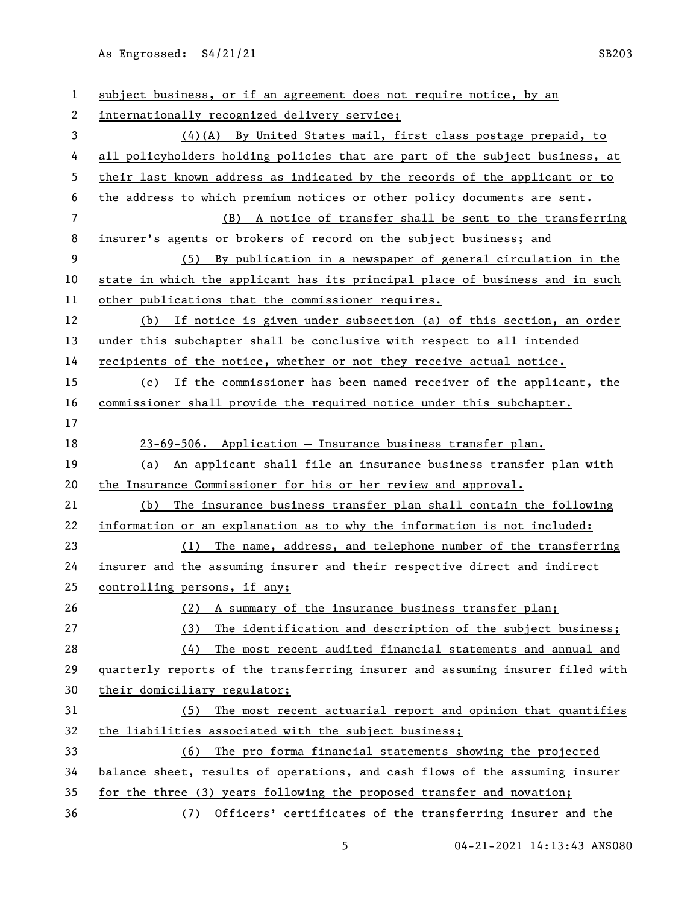| 1                    | subject business, or if an agreement does not require notice, by an           |
|----------------------|-------------------------------------------------------------------------------|
| 2                    | internationally recognized delivery service;                                  |
| 3                    | $(4)$ (A) By United States mail, first class postage prepaid, to              |
| 4                    | all policyholders holding policies that are part of the subject business, at  |
| 5                    | their last known address as indicated by the records of the applicant or to   |
| 6                    | the address to which premium notices or other policy documents are sent.      |
| 7                    | (B) A notice of transfer shall be sent to the transferring                    |
| 8                    | insurer's agents or brokers of record on the subject business; and            |
| 9                    | (5) By publication in a newspaper of general circulation in the               |
| 10                   | state in which the applicant has its principal place of business and in such  |
| 11                   | other publications that the commissioner requires.                            |
| 12                   | (b) If notice is given under subsection (a) of this section, an order         |
| 13                   | under this subchapter shall be conclusive with respect to all intended        |
| 14                   | recipients of the notice, whether or not they receive actual notice.          |
| 15                   | (c) If the commissioner has been named receiver of the applicant, the         |
| 16                   | commissioner shall provide the required notice under this subchapter.         |
| 17                   |                                                                               |
| 18                   | 23-69-506. Application - Insurance business transfer plan.                    |
| 19                   | (a) An applicant shall file an insurance business transfer plan with          |
| 20                   | the Insurance Commissioner for his or her review and approval.                |
| 21                   | The insurance business transfer plan shall contain the following<br>(b)       |
| 22                   | information or an explanation as to why the information is not included:      |
| 23                   | (1) The name, address, and telephone number of the transferring               |
| 24                   | insurer and the assuming insurer and their respective direct and indirect     |
| 25                   |                                                                               |
|                      | controlling persons, if any;                                                  |
|                      | (2) A summary of the insurance business transfer plan;                        |
| 26<br>27             | The identification and description of the subject business;<br>(3)            |
| 28                   | The most recent audited financial statements and annual and<br>(4)            |
|                      | quarterly reports of the transferring insurer and assuming insurer filed with |
| 29<br>30             | their domiciliary regulator;                                                  |
|                      | The most recent actuarial report and opinion that quantifies<br>(5)           |
|                      | the liabilities associated with the subject business;                         |
|                      | (6) The pro forma financial statements showing the projected                  |
| 31<br>32<br>33<br>34 | balance sheet, results of operations, and cash flows of the assuming insurer  |
| 35                   | for the three (3) years following the proposed transfer and novation;         |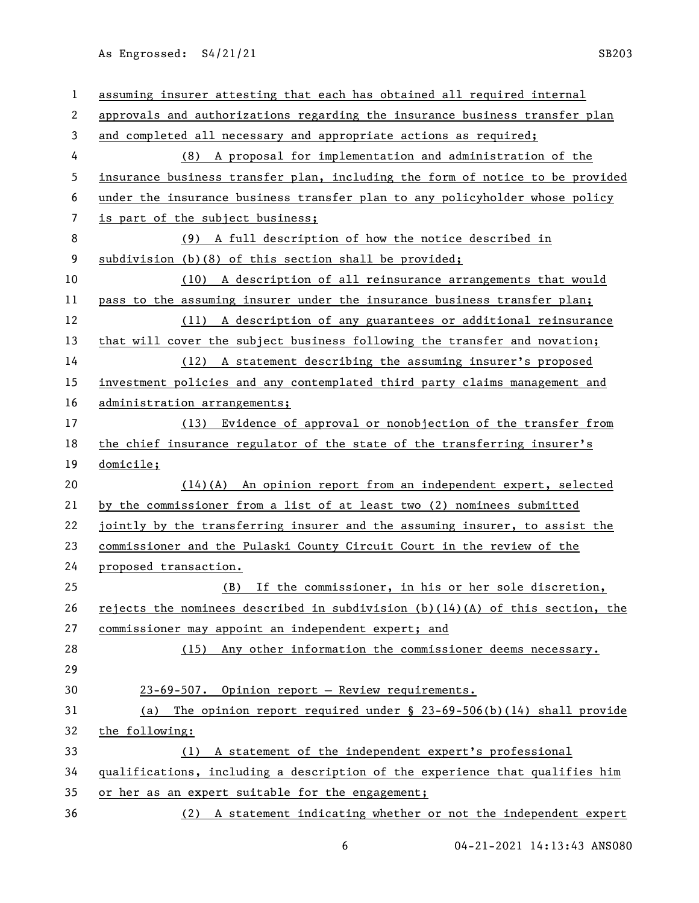| $\mathbf{1}$   | assuming insurer attesting that each has obtained all required internal         |
|----------------|---------------------------------------------------------------------------------|
| $\overline{c}$ | approvals and authorizations regarding the insurance business transfer plan     |
| 3              | and completed all necessary and appropriate actions as required;                |
| 4              | (8) A proposal for implementation and administration of the                     |
| 5              | insurance business transfer plan, including the form of notice to be provided   |
| 6              | under the insurance business transfer plan to any policyholder whose policy     |
| $\overline{7}$ | is part of the subject business;                                                |
| 8              | (9) A full description of how the notice described in                           |
| 9              | subdivision (b)(8) of this section shall be provided;                           |
| 10             | (10) A description of all reinsurance arrangements that would                   |
| 11             | pass to the assuming insurer under the insurance business transfer plan;        |
| 12             | (11) A description of any guarantees or additional reinsurance                  |
| 13             | that will cover the subject business following the transfer and novation;       |
| 14             | (12) A statement describing the assuming insurer's proposed                     |
| 15             | investment policies and any contemplated third party claims management and      |
| 16             | administration arrangements;                                                    |
| 17             | (13) Evidence of approval or nonobjection of the transfer from                  |
| 18             | the chief insurance regulator of the state of the transferring insurer's        |
| 19             | domicile;                                                                       |
| 20             | $(14)(A)$ An opinion report from an independent expert, selected                |
| 21             | by the commissioner from a list of at least two (2) nominees submitted          |
| 22             | jointly by the transferring insurer and the assuming insurer, to assist the     |
| 23             | commissioner and the Pulaski County Circuit Court in the review of the          |
| 24             | proposed transaction.                                                           |
| 25             | If the commissioner, in his or her sole discretion,<br>(B)                      |
| 26             | rejects the nominees described in subdivision $(b)(14)(A)$ of this section, the |
| 27             | commissioner may appoint an independent expert; and                             |
| 28             | (15) Any other information the commissioner deems necessary.                    |
| 29             |                                                                                 |
| 30             | 23-69-507. Opinion report - Review requirements.                                |
| 31             | (a) The opinion report required under $\S$ 23-69-506(b)(14) shall provide       |
| 32             | the following:                                                                  |
| 33             | (1) A statement of the independent expert's professional                        |
| 34             | qualifications, including a description of the experience that qualifies him    |
| 35             | or her as an expert suitable for the engagement;                                |
| 36             | (2) A statement indicating whether or not the independent expert                |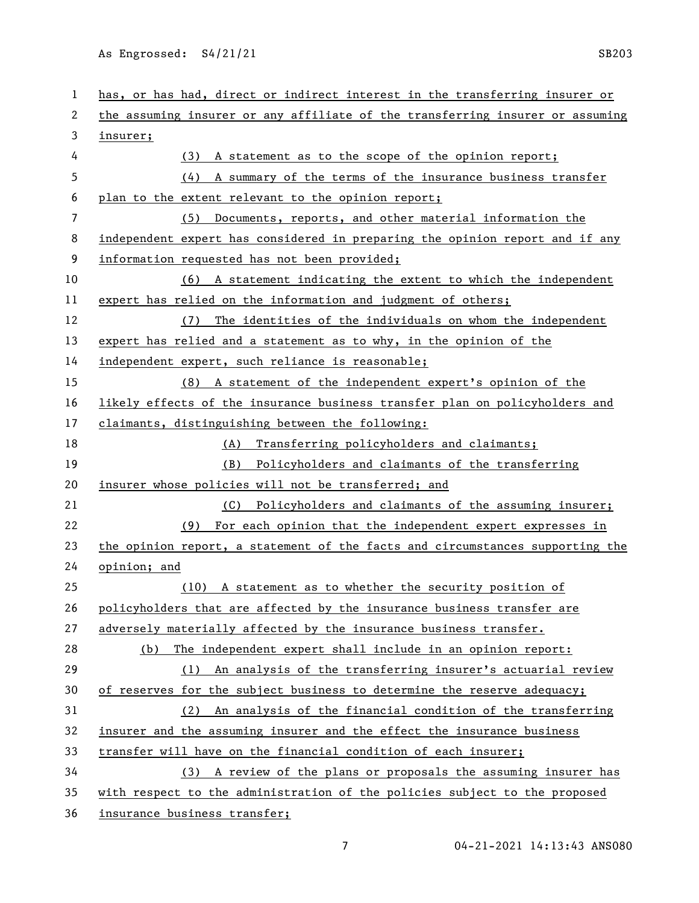| 1  | has, or has had, direct or indirect interest in the transferring insurer or   |
|----|-------------------------------------------------------------------------------|
| 2  | the assuming insurer or any affiliate of the transferring insurer or assuming |
| 3  | insurer;                                                                      |
| 4  | (3) A statement as to the scope of the opinion report;                        |
| 5  | A summary of the terms of the insurance business transfer<br>(4)              |
| 6  | plan to the extent relevant to the opinion report;                            |
| 7  | Documents, reports, and other material information the<br>(5)                 |
| 8  | independent expert has considered in preparing the opinion report and if any  |
| 9  | information requested has not been provided;                                  |
| 10 | (6) A statement indicating the extent to which the independent                |
| 11 | expert has relied on the information and judgment of others;                  |
| 12 | The identities of the individuals on whom the independent<br>(7)              |
| 13 | expert has relied and a statement as to why, in the opinion of the            |
| 14 | independent expert, such reliance is reasonable;                              |
| 15 | A statement of the independent expert's opinion of the<br>(8)                 |
| 16 | likely effects of the insurance business transfer plan on policyholders and   |
| 17 | claimants, distinguishing between the following:                              |
| 18 | (A) Transferring policyholders and claimants;                                 |
| 19 | (B) Policyholders and claimants of the transferring                           |
| 20 | insurer whose policies will not be transferred; and                           |
| 21 | (C) Policyholders and claimants of the assuming insurer;                      |
| 22 | For each opinion that the independent expert expresses in<br>(9)              |
| 23 | the opinion report, a statement of the facts and circumstances supporting the |
| 24 | opinion; and                                                                  |
| 25 | A statement as to whether the security position of<br>(10)                    |
| 26 | policyholders that are affected by the insurance business transfer are        |
| 27 | adversely materially affected by the insurance business transfer.             |
| 28 | The independent expert shall include in an opinion report:<br>(b)             |
| 29 | (1) An analysis of the transferring insurer's actuarial review                |
| 30 | of reserves for the subject business to determine the reserve adequacy;       |
| 31 | An analysis of the financial condition of the transferring<br>(2)             |
| 32 | insurer and the assuming insurer and the effect the insurance business        |
| 33 | transfer will have on the financial condition of each insurer;                |
| 34 | (3) A review of the plans or proposals the assuming insurer has               |
| 35 | with respect to the administration of the policies subject to the proposed    |
| 36 | insurance business transfer;                                                  |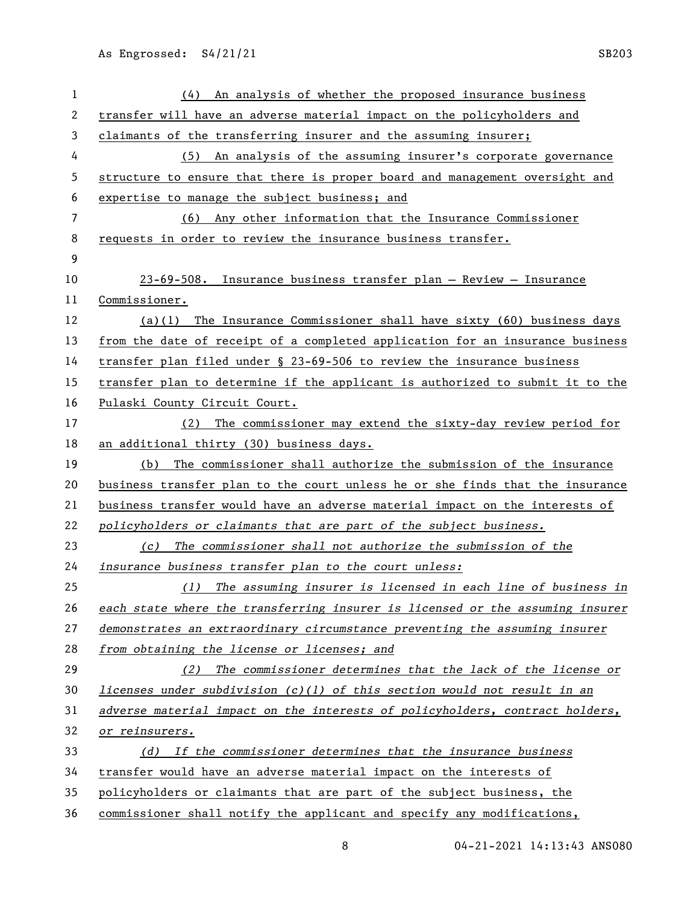| 1  | (4) An analysis of whether the proposed insurance business                    |
|----|-------------------------------------------------------------------------------|
| 2  | transfer will have an adverse material impact on the policyholders and        |
| 3  | claimants of the transferring insurer and the assuming insurer;               |
| 4  | An analysis of the assuming insurer's corporate governance<br>(5)             |
| 5  | structure to ensure that there is proper board and management oversight and   |
| 6  | expertise to manage the subject business; and                                 |
| 7  | (6) Any other information that the Insurance Commissioner                     |
| 8  | requests in order to review the insurance business transfer.                  |
| 9  |                                                                               |
| 10 | 23-69-508. Insurance business transfer plan - Review - Insurance              |
| 11 | Commissioner.                                                                 |
| 12 | (a)(1) The Insurance Commissioner shall have sixty $(60)$ business days       |
| 13 | from the date of receipt of a completed application for an insurance business |
| 14 | transfer plan filed under § 23-69-506 to review the insurance business        |
| 15 | transfer plan to determine if the applicant is authorized to submit it to the |
| 16 | Pulaski County Circuit Court.                                                 |
| 17 | The commissioner may extend the sixty-day review period for<br>(2)            |
| 18 | an additional thirty (30) business days.                                      |
| 19 | The commissioner shall authorize the submission of the insurance<br>(b)       |
| 20 | business transfer plan to the court unless he or she finds that the insurance |
| 21 | business transfer would have an adverse material impact on the interests of   |
| 22 | policyholders or claimants that are part of the subject business.             |
| 23 | (c) The commissioner shall not authorize the submission of the                |
| 24 | insurance business transfer plan to the court unless:                         |
| 25 | The assuming insurer is licensed in each line of business in<br>(1)           |
| 26 | each state where the transferring insurer is licensed or the assuming insurer |
| 27 | demonstrates an extraordinary circumstance preventing the assuming insurer    |
| 28 | from obtaining the license or licenses; and                                   |
| 29 | The commissioner determines that the lack of the license or<br>(2)            |
| 30 | licenses under subdivision (c)(l) of this section would not result in an      |
| 31 | adverse material impact on the interests of policyholders, contract holders,  |
| 32 | or reinsurers.                                                                |
| 33 | If the commissioner determines that the insurance business<br>(d)             |
| 34 | transfer would have an adverse material impact on the interests of            |
| 35 | policyholders or claimants that are part of the subject business, the         |
| 36 | commissioner shall notify the applicant and specify any modifications,        |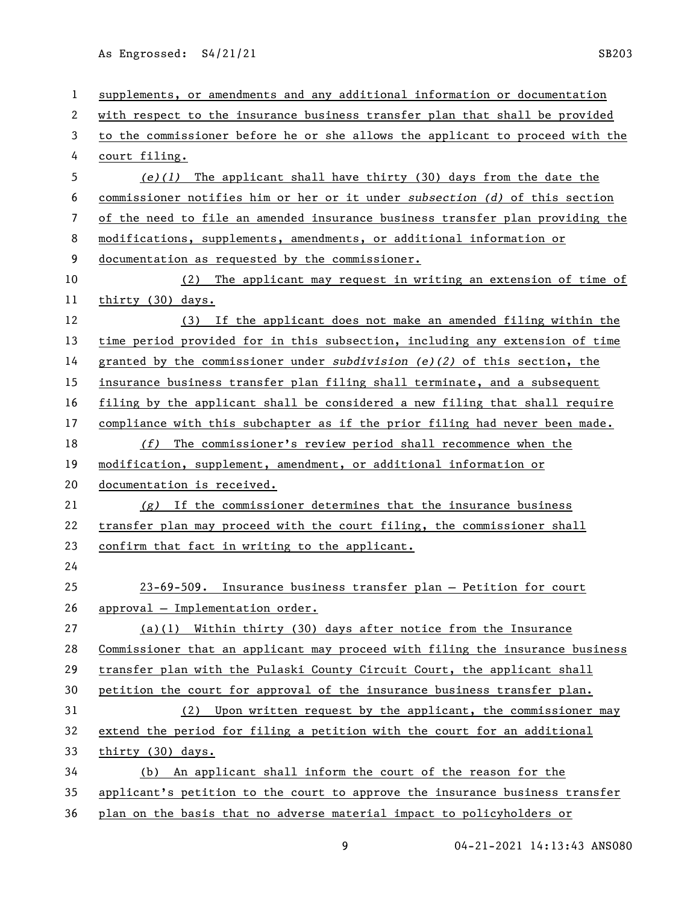| 1  | supplements, or amendments and any additional information or documentation    |
|----|-------------------------------------------------------------------------------|
| 2  | with respect to the insurance business transfer plan that shall be provided   |
| 3  | to the commissioner before he or she allows the applicant to proceed with the |
| 4  | court filing.                                                                 |
| 5  | $(e)(1)$ The applicant shall have thirty (30) days from the date the          |
| 6  | commissioner notifies him or her or it under subsection (d) of this section   |
| 7  | of the need to file an amended insurance business transfer plan providing the |
| 8  | modifications, supplements, amendments, or additional information or          |
| 9  | documentation as requested by the commissioner.                               |
| 10 | (2) The applicant may request in writing an extension of time of              |
| 11 | thirty (30) days.                                                             |
| 12 | (3) If the applicant does not make an amended filing within the               |
| 13 | time period provided for in this subsection, including any extension of time  |
| 14 | granted by the commissioner under subdivision (e)(2) of this section, the     |
| 15 | insurance business transfer plan filing shall terminate, and a subsequent     |
| 16 | filing by the applicant shall be considered a new filing that shall require   |
| 17 | compliance with this subchapter as if the prior filing had never been made.   |
| 18 | $(f)$ The commissioner's review period shall recommence when the              |
| 19 | modification, supplement, amendment, or additional information or             |
| 20 | documentation is received.                                                    |
| 21 | $(g)$ If the commissioner determines that the insurance business              |
| 22 | transfer plan may proceed with the court filing, the commissioner shall       |
| 23 | confirm that fact in writing to the applicant.                                |
| 24 |                                                                               |
| 25 | 23-69-509. Insurance business transfer plan - Petition for court              |
| 26 | approval - Implementation order.                                              |
| 27 | $(a)(1)$ Within thirty (30) days after notice from the Insurance              |
| 28 | Commissioner that an applicant may proceed with filing the insurance business |
| 29 | transfer plan with the Pulaski County Circuit Court, the applicant shall      |
| 30 | petition the court for approval of the insurance business transfer plan.      |
| 31 | Upon written request by the applicant, the commissioner may<br>(2)            |
| 32 | extend the period for filing a petition with the court for an additional      |
| 33 | thirty (30) days.                                                             |
| 34 | An applicant shall inform the court of the reason for the<br>(b)              |
| 35 | applicant's petition to the court to approve the insurance business transfer  |
| 36 | plan on the basis that no adverse material impact to policyholders or         |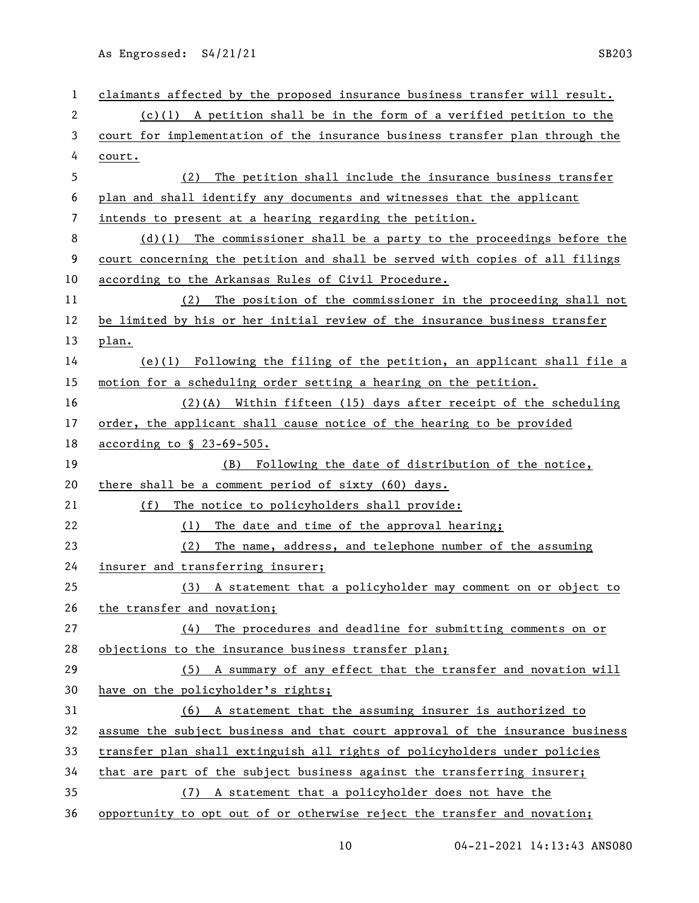| 1              | claimants affected by the proposed insurance business transfer will result.   |
|----------------|-------------------------------------------------------------------------------|
| $\overline{c}$ | $(c)(1)$ A petition shall be in the form of a verified petition to the        |
| 3              | court for implementation of the insurance business transfer plan through the  |
| 4              | court.                                                                        |
| 5              | (2) The petition shall include the insurance business transfer                |
| 6              | plan and shall identify any documents and witnesses that the applicant        |
| 7              | intends to present at a hearing regarding the petition.                       |
| 8              | $(d)(1)$ The commissioner shall be a party to the proceedings before the      |
| 9              | court concerning the petition and shall be served with copies of all filings  |
| 10             | according to the Arkansas Rules of Civil Procedure.                           |
| 11             | (2) The position of the commissioner in the proceeding shall not              |
| 12             | be limited by his or her initial review of the insurance business transfer    |
| 13             | plan.                                                                         |
| 14             | $(e)(1)$ Following the filing of the petition, an applicant shall file a      |
| 15             | motion for a scheduling order setting a hearing on the petition.              |
| 16             | $(2)(A)$ Within fifteen (15) days after receipt of the scheduling             |
| 17             | order, the applicant shall cause notice of the hearing to be provided         |
| 18             | <u>according to § 23-69-505.</u>                                              |
| 19             | (B) Following the date of distribution of the notice,                         |
| 20             | there shall be a comment period of sixty (60) days.                           |
| 21             | The notice to policyholders shall provide:<br>(f)                             |
| 22             | The date and time of the approval hearing;<br>(1)                             |
| 23             | The name, address, and telephone number of the assuming<br>(2)                |
| 24             | insurer and transferring insurer;                                             |
| 25             | (3) A statement that a policyholder may comment on or object to               |
| 26             | the transfer and novation;                                                    |
| 27             | (4) The procedures and deadline for submitting comments on or                 |
| 28             | objections to the insurance business transfer plan;                           |
| 29             | (5) A summary of any effect that the transfer and novation will               |
| 30             | have on the policyholder's rights;                                            |
| 31             | (6) A statement that the assuming insurer is authorized to                    |
| 32             | assume the subject business and that court approval of the insurance business |
| 33             | transfer plan shall extinguish all rights of policyholders under policies     |
| 34             | that are part of the subject business against the transferring insurer;       |
| 35             | (7) A statement that a policyholder does not have the                         |
|                |                                                                               |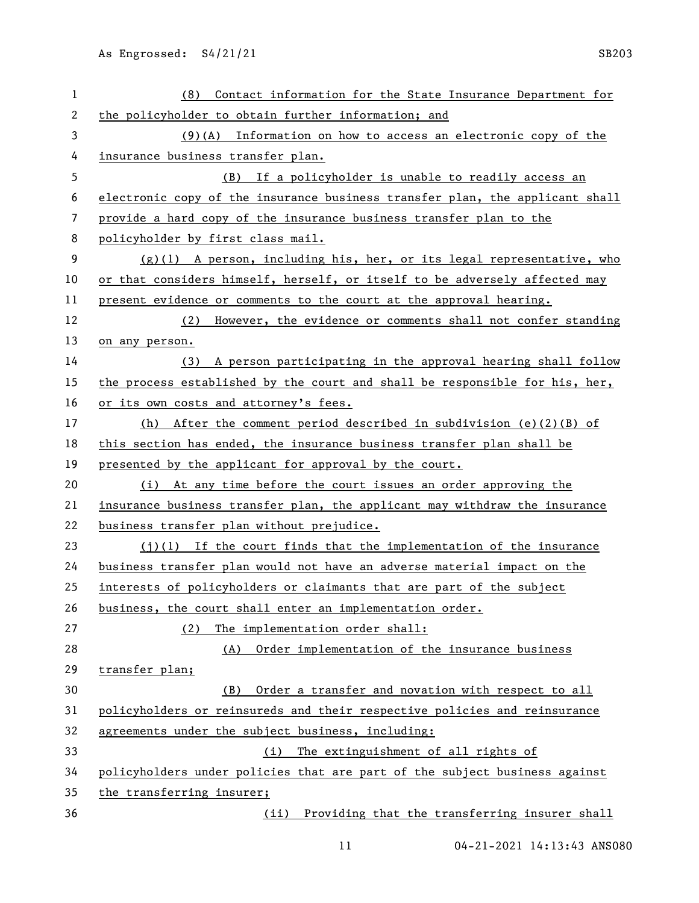| $\mathbf{1}$ | (8) Contact information for the State Insurance Department for               |
|--------------|------------------------------------------------------------------------------|
| $\mathbf{2}$ | the policyholder to obtain further information; and                          |
| 3            | $(9)(A)$ Information on how to access an electronic copy of the              |
| 4            | insurance business transfer plan.                                            |
| 5            | (B) If a policyholder is unable to readily access an                         |
| 6            | electronic copy of the insurance business transfer plan, the applicant shall |
| 7            | provide a hard copy of the insurance business transfer plan to the           |
| 8            | policyholder by first class mail.                                            |
| 9            | $(g)(1)$ A person, including his, her, or its legal representative, who      |
| 10           | or that considers himself, herself, or itself to be adversely affected may   |
| 11           | present evidence or comments to the court at the approval hearing.           |
| 12           | (2) However, the evidence or comments shall not confer standing              |
| 13           | on any person.                                                               |
| 14           | (3) A person participating in the approval hearing shall follow              |
| 15           | the process established by the court and shall be responsible for his, her,  |
| 16           | or its own costs and attorney's fees.                                        |
| 17           | (h) After the comment period described in subdivision (e)(2)(B) of           |
| 18           | this section has ended, the insurance business transfer plan shall be        |
| 19           | presented by the applicant for approval by the court.                        |
| 20           | (i) At any time before the court issues an order approving the               |
| 21           | insurance business transfer plan, the applicant may withdraw the insurance   |
| 22           | business transfer plan without prejudice.                                    |
| 23           | $(i)(1)$ If the court finds that the implementation of the insurance         |
| 24           | business transfer plan would not have an adverse material impact on the      |
| 25           | interests of policyholders or claimants that are part of the subject         |
| 26           | business, the court shall enter an implementation order.                     |
| 27           | The implementation order shall:<br>(2)                                       |
| 28           | (A) Order implementation of the insurance business                           |
| 29           | transfer plan;                                                               |
| 30           | Order a transfer and novation with respect to all<br>(B)                     |
| 31           | policyholders or reinsureds and their respective policies and reinsurance    |
| 32           | agreements under the subject business, including:                            |
| 33           | (i) The extinguishment of all rights of                                      |
| 34           | policyholders under policies that are part of the subject business against   |
| 35           | the transferring insurer;                                                    |
| 36           | (ii) Providing that the transferring insurer shall                           |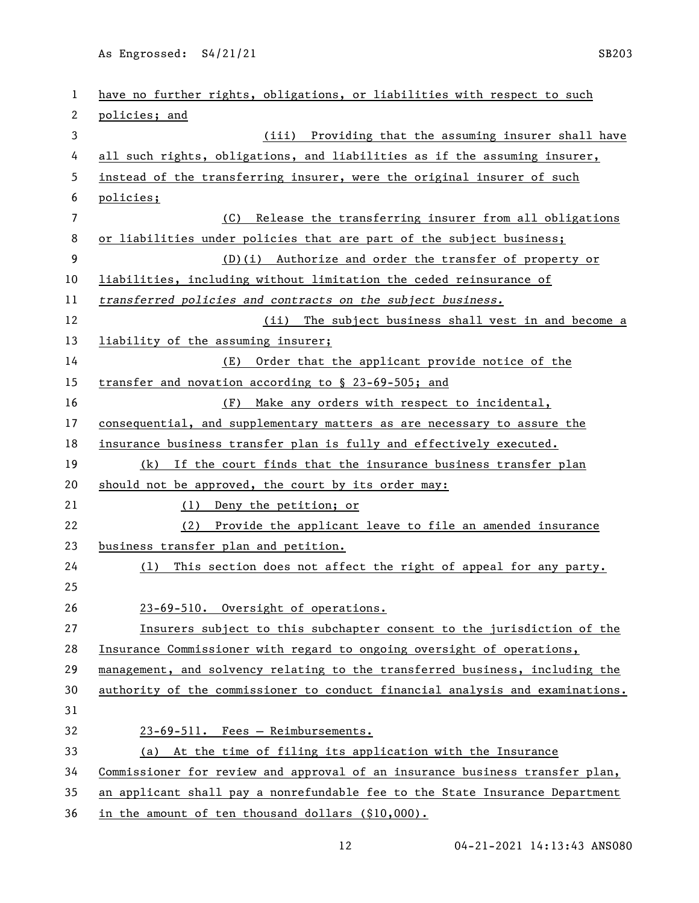| 1  | have no further rights, obligations, or liabilities with respect to such      |
|----|-------------------------------------------------------------------------------|
| 2  | policies; and                                                                 |
| 3  | (iii) Providing that the assuming insurer shall have                          |
| 4  | all such rights, obligations, and liabilities as if the assuming insurer,     |
| 5  | instead of the transferring insurer, were the original insurer of such        |
| 6  | policies;                                                                     |
| 7  | (C)<br>Release the transferring insurer from all obligations                  |
| 8  | or liabilities under policies that are part of the subject business;          |
| 9  | (D)(i) Authorize and order the transfer of property or                        |
| 10 | liabilities, including without limitation the ceded reinsurance of            |
| 11 | transferred policies and contracts on the subject business.                   |
| 12 | (ii) The subject business shall vest in and become a                          |
| 13 | liability of the assuming insurer;                                            |
| 14 | Order that the applicant provide notice of the<br>(E)                         |
| 15 | transfer and novation according to $\S$ 23-69-505; and                        |
| 16 | Make any orders with respect to incidental,<br>(F)                            |
| 17 | consequential, and supplementary matters as are necessary to assure the       |
| 18 | insurance business transfer plan is fully and effectively executed.           |
| 19 | If the court finds that the insurance business transfer plan<br>(k)           |
| 20 | should not be approved, the court by its order may:                           |
| 21 | (1)<br>Deny the petition; or                                                  |
| 22 | (2) Provide the applicant leave to file an amended insurance                  |
| 23 | business transfer plan and petition.                                          |
| 24 | This section does not affect the right of appeal for any party.<br>(1)        |
| 25 |                                                                               |
| 26 | 23-69-510. Oversight of operations.                                           |
| 27 | Insurers subject to this subchapter consent to the jurisdiction of the        |
| 28 | Insurance Commissioner with regard to ongoing oversight of operations,        |
| 29 | management, and solvency relating to the transferred business, including the  |
| 30 | authority of the commissioner to conduct financial analysis and examinations. |
| 31 |                                                                               |
| 32 | 23-69-511. Fees - Reimbursements.                                             |
| 33 | (a) At the time of filing its application with the Insurance                  |
| 34 | Commissioner for review and approval of an insurance business transfer plan,  |
| 35 | an applicant shall pay a nonrefundable fee to the State Insurance Department  |
| 36 | in the amount of ten thousand dollars (\$10,000).                             |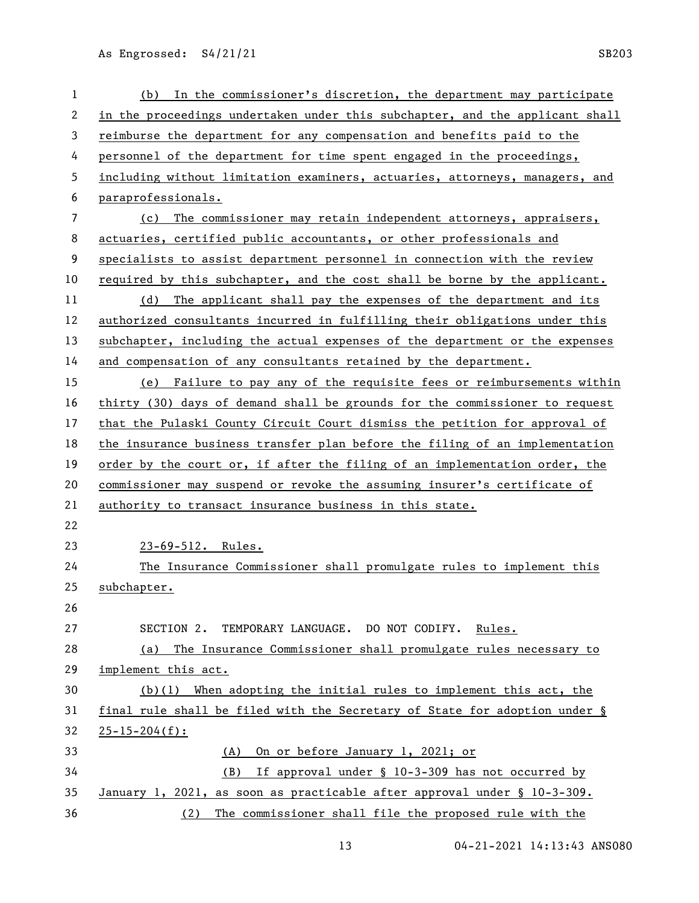| 1  | In the commissioner's discretion, the department may participate<br>(b)      |
|----|------------------------------------------------------------------------------|
| 2  | in the proceedings undertaken under this subchapter, and the applicant shall |
| 3  | reimburse the department for any compensation and benefits paid to the       |
| 4  | personnel of the department for time spent engaged in the proceedings,       |
| 5  | including without limitation examiners, actuaries, attorneys, managers, and  |
| 6  | paraprofessionals.                                                           |
| 7  | The commissioner may retain independent attorneys, appraisers,<br>(c)        |
| 8  | actuaries, certified public accountants, or other professionals and          |
| 9  | specialists to assist department personnel in connection with the review     |
| 10 | required by this subchapter, and the cost shall be borne by the applicant.   |
| 11 | (d) The applicant shall pay the expenses of the department and its           |
| 12 | authorized consultants incurred in fulfilling their obligations under this   |
| 13 | subchapter, including the actual expenses of the department or the expenses  |
| 14 | and compensation of any consultants retained by the department.              |
| 15 | (e) Failure to pay any of the requisite fees or reimbursements within        |
| 16 | thirty (30) days of demand shall be grounds for the commissioner to request  |
| 17 | that the Pulaski County Circuit Court dismiss the petition for approval of   |
| 18 | the insurance business transfer plan before the filing of an implementation  |
| 19 | order by the court or, if after the filing of an implementation order, the   |
| 20 | commissioner may suspend or revoke the assuming insurer's certificate of     |
| 21 | authority to transact insurance business in this state.                      |
| 22 |                                                                              |
| 23 | 23-69-512. Rules.                                                            |
| 24 | The Insurance Commissioner shall promulgate rules to implement this          |
| 25 | subchapter.                                                                  |
| 26 |                                                                              |
| 27 | SECTION 2. TEMPORARY LANGUAGE. DO NOT CODIFY. Rules.                         |
| 28 | (a) The Insurance Commissioner shall promulgate rules necessary to           |
| 29 | implement this act.                                                          |
| 30 | $(b)(1)$ When adopting the initial rules to implement this act, the          |
| 31 | final rule shall be filed with the Secretary of State for adoption under §   |
| 32 | $25 - 15 - 204(f):$                                                          |
| 33 | (A) On or before January 1, 2021; or                                         |
| 34 | If approval under § 10-3-309 has not occurred by<br>(B)                      |
| 35 | January 1, 2021, as soon as practicable after approval under § 10-3-309.     |
| 36 | The commissioner shall file the proposed rule with the<br>(2)                |